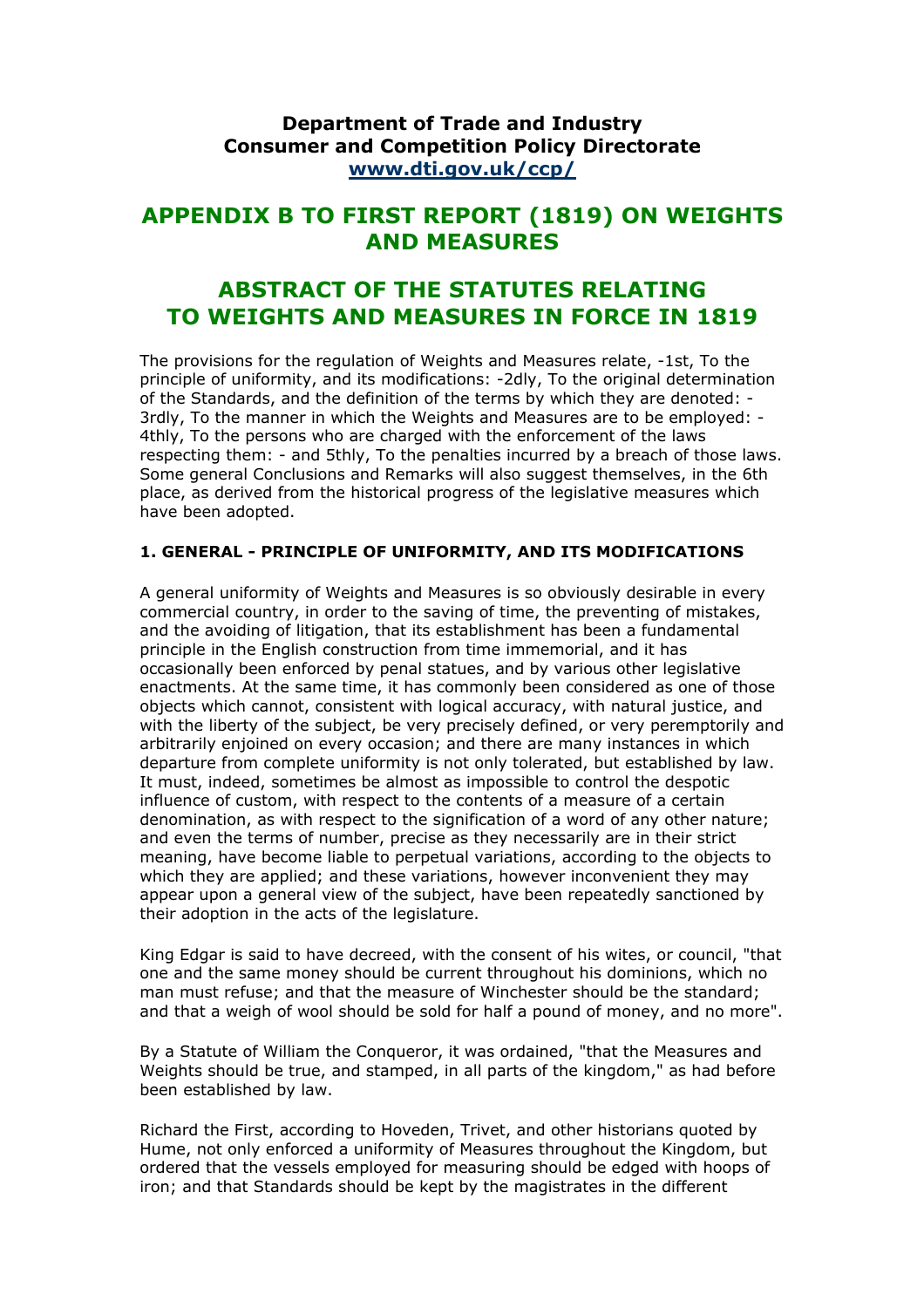## **Department of Trade and Industry Consumer and Competition Policy Directorate [www.dti.gov.uk/ccp/](http://www.dti.gov.uk/ccp/)**

# **APPENDIX B TO FIRST REPORT (1819) ON WEIGHTS AND MEASURES**

# **ABSTRACT OF THE STATUTES RELATING TO WEIGHTS AND MEASURES IN FORCE IN 1819**

The provisions for the regulation of Weights and Measures relate, -1st, To the principle of uniformity, and its modifications: -2dly, To the original determination of the Standards, and the definition of the terms by which they are denoted: - 3rdly, To the manner in which the Weights and Measures are to be employed: - 4thly, To the persons who are charged with the enforcement of the laws respecting them: - and 5thly, To the penalties incurred by a breach of those laws. Some general Conclusions and Remarks will also suggest themselves, in the 6th place, as derived from the historical progress of the legislative measures which have been adopted.

### **1. GENERAL - PRINCIPLE OF UNIFORMITY, AND ITS MODIFICATIONS**

A general uniformity of Weights and Measures is so obviously desirable in every commercial country, in order to the saving of time, the preventing of mistakes, and the avoiding of litigation, that its establishment has been a fundamental principle in the English construction from time immemorial, and it has occasionally been enforced by penal statues, and by various other legislative enactments. At the same time, it has commonly been considered as one of those objects which cannot, consistent with logical accuracy, with natural justice, and with the liberty of the subject, be very precisely defined, or very peremptorily and arbitrarily enjoined on every occasion; and there are many instances in which departure from complete uniformity is not only tolerated, but established by law. It must, indeed, sometimes be almost as impossible to control the despotic influence of custom, with respect to the contents of a measure of a certain denomination, as with respect to the signification of a word of any other nature; and even the terms of number, precise as they necessarily are in their strict meaning, have become liable to perpetual variations, according to the objects to which they are applied; and these variations, however inconvenient they may appear upon a general view of the subject, have been repeatedly sanctioned by their adoption in the acts of the legislature.

King Edgar is said to have decreed, with the consent of his wites, or council, "that one and the same money should be current throughout his dominions, which no man must refuse; and that the measure of Winchester should be the standard; and that a weigh of wool should be sold for half a pound of money, and no more".

By a Statute of William the Conqueror, it was ordained, "that the Measures and Weights should be true, and stamped, in all parts of the kingdom," as had before been established by law.

Richard the First, according to Hoveden, Trivet, and other historians quoted by Hume, not only enforced a uniformity of Measures throughout the Kingdom, but ordered that the vessels employed for measuring should be edged with hoops of iron; and that Standards should be kept by the magistrates in the different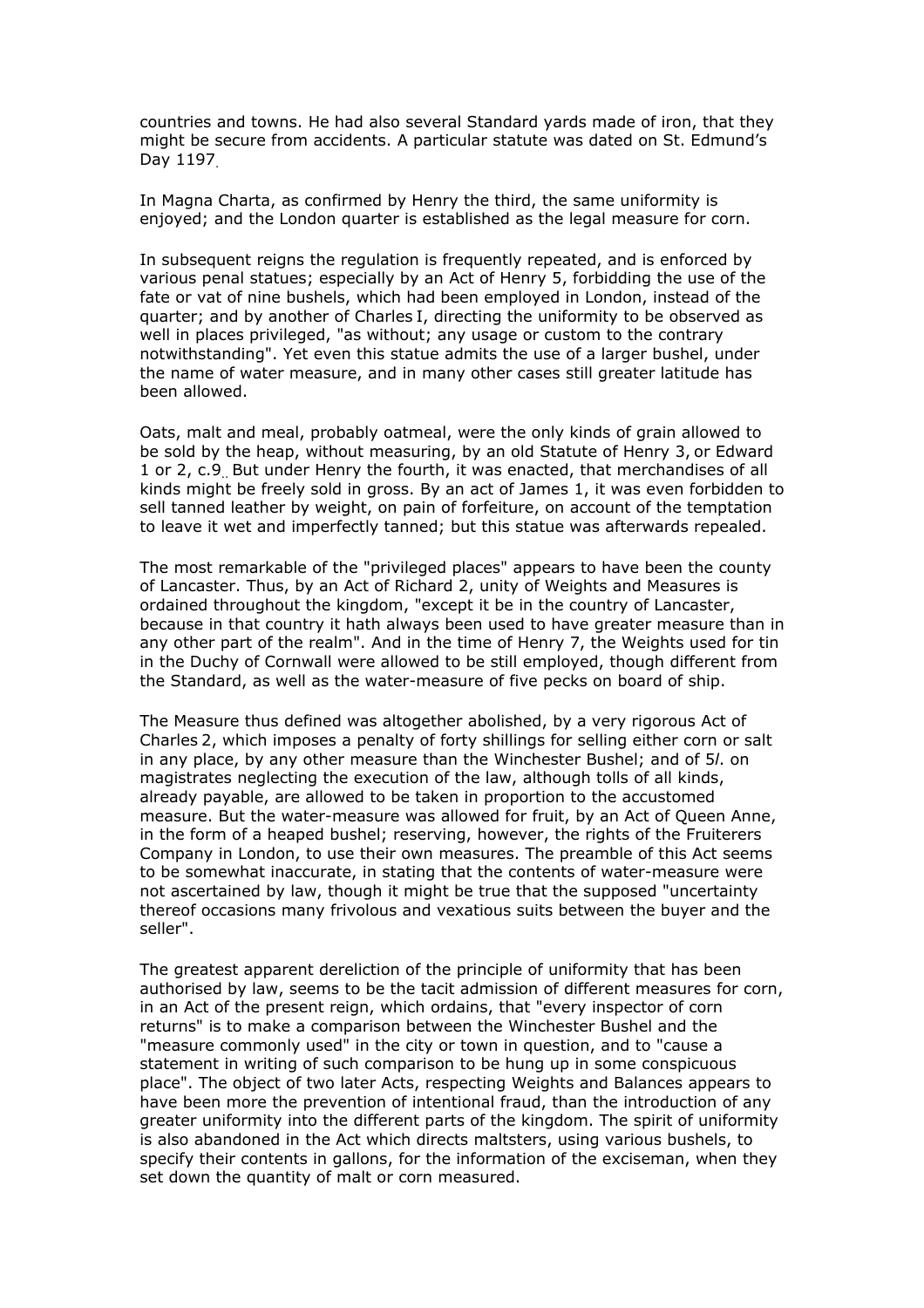countries and towns. He had also several Standard yards made of iron, that they might be secure from accidents. A particular statute was dated on St. Edmund's Day 1197.

In Magna Charta, as confirmed by Henry the third, the same uniformity is enjoyed; and the London quarter is established as the legal measure for corn.

In subsequent reigns the regulation is frequently repeated, and is enforced by various penal statues; especially by an Act of Henry 5, forbidding the use of the fate or vat of nine bushels, which had been employed in London, instead of the quarter; and by another of Charles I, directing the uniformity to be observed as well in places privileged, "as without; any usage or custom to the contrary notwithstanding". Yet even this statue admits the use of a larger bushel, under the name of water measure, and in many other cases still greater latitude has been allowed.

Oats, malt and meal, probably oatmeal, were the only kinds of grain allowed to be sold by the heap, without measuring, by an old Statute of Henry 3, or Edward 1 or 2, c.9.. But under Henry the fourth, it was enacted, that merchandises of all kinds might be freely sold in gross. By an act of James 1, it was even forbidden to sell tanned leather by weight, on pain of forfeiture, on account of the temptation to leave it wet and imperfectly tanned; but this statue was afterwards repealed.

The most remarkable of the "privileged places" appears to have been the county of Lancaster. Thus, by an Act of Richard 2, unity of Weights and Measures is ordained throughout the kingdom, "except it be in the country of Lancaster, because in that country it hath always been used to have greater measure than in any other part of the realm". And in the time of Henry 7, the Weights used for tin in the Duchy of Cornwall were allowed to be still employed, though different from the Standard, as well as the water-measure of five pecks on board of ship.

The Measure thus defined was altogether abolished, by a very rigorous Act of Charles 2, which imposes a penalty of forty shillings for selling either corn or salt in any place, by any other measure than the Winchester Bushel; and of 5*l*. on magistrates neglecting the execution of the law, although tolls of all kinds, already payable, are allowed to be taken in proportion to the accustomed measure. But the water-measure was allowed for fruit, by an Act of Queen Anne, in the form of a heaped bushel; reserving, however, the rights of the Fruiterers Company in London, to use their own measures. The preamble of this Act seems to be somewhat inaccurate, in stating that the contents of water-measure were not ascertained by law, though it might be true that the supposed "uncertainty thereof occasions many frivolous and vexatious suits between the buyer and the seller".

The greatest apparent dereliction of the principle of uniformity that has been authorised by law, seems to be the tacit admission of different measures for corn, in an Act of the present reign, which ordains, that "every inspector of corn returns" is to make a comparison between the Winchester Bushel and the "measure commonly used" in the city or town in question, and to "cause a statement in writing of such comparison to be hung up in some conspicuous place". The object of two later Acts, respecting Weights and Balances appears to have been more the prevention of intentional fraud, than the introduction of any greater uniformity into the different parts of the kingdom. The spirit of uniformity is also abandoned in the Act which directs maltsters, using various bushels, to specify their contents in gallons, for the information of the exciseman, when they set down the quantity of malt or corn measured.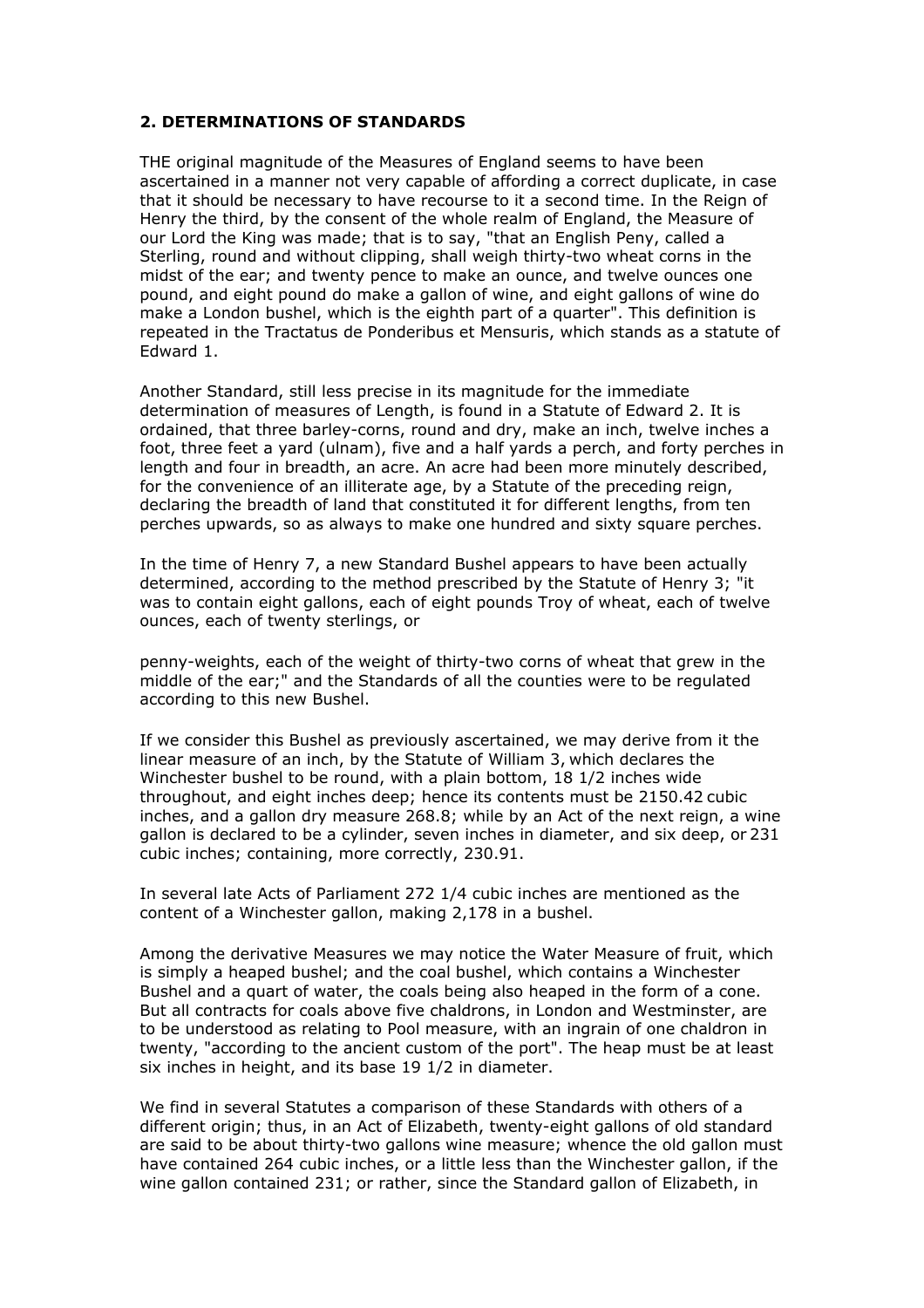#### **2. DETERMINATIONS OF STANDARDS**

THE original magnitude of the Measures of England seems to have been ascertained in a manner not very capable of affording a correct duplicate, in case that it should be necessary to have recourse to it a second time. In the Reign of Henry the third, by the consent of the whole realm of England, the Measure of our Lord the King was made; that is to say, "that an English Peny, called a Sterling, round and without clipping, shall weigh thirty-two wheat corns in the midst of the ear; and twenty pence to make an ounce, and twelve ounces one pound, and eight pound do make a gallon of wine, and eight gallons of wine do make a London bushel, which is the eighth part of a quarter". This definition is repeated in the Tractatus de Ponderibus et Mensuris, which stands as a statute of Edward 1.

Another Standard, still less precise in its magnitude for the immediate determination of measures of Length, is found in a Statute of Edward 2. It is ordained, that three barley-corns, round and dry, make an inch, twelve inches a foot, three feet a yard (ulnam), five and a half yards a perch, and forty perches in length and four in breadth, an acre. An acre had been more minutely described, for the convenience of an illiterate age, by a Statute of the preceding reign, declaring the breadth of land that constituted it for different lengths, from ten perches upwards, so as always to make one hundred and sixty square perches.

In the time of Henry 7, a new Standard Bushel appears to have been actually determined, according to the method prescribed by the Statute of Henry 3; "it was to contain eight gallons, each of eight pounds Troy of wheat, each of twelve ounces, each of twenty sterlings, or

penny-weights, each of the weight of thirty-two corns of wheat that grew in the middle of the ear;" and the Standards of all the counties were to be regulated according to this new Bushel.

If we consider this Bushel as previously ascertained, we may derive from it the linear measure of an inch, by the Statute of William 3, which declares the Winchester bushel to be round, with a plain bottom, 18 1/2 inches wide throughout, and eight inches deep; hence its contents must be 2150.42 cubic inches, and a gallon dry measure 268.8; while by an Act of the next reign, a wine gallon is declared to be a cylinder, seven inches in diameter, and six deep, or 231 cubic inches; containing, more correctly, 230.91.

In several late Acts of Parliament 272 1/4 cubic inches are mentioned as the content of a Winchester gallon, making 2,178 in a bushel.

Among the derivative Measures we may notice the Water Measure of fruit, which is simply a heaped bushel; and the coal bushel, which contains a Winchester Bushel and a quart of water, the coals being also heaped in the form of a cone. But all contracts for coals above five chaldrons, in London and Westminster, are to be understood as relating to Pool measure, with an ingrain of one chaldron in twenty, "according to the ancient custom of the port". The heap must be at least six inches in height, and its base 19 1/2 in diameter.

We find in several Statutes a comparison of these Standards with others of a different origin; thus, in an Act of Elizabeth, twenty-eight gallons of old standard are said to be about thirty-two gallons wine measure; whence the old gallon must have contained 264 cubic inches, or a little less than the Winchester gallon, if the wine gallon contained 231; or rather, since the Standard gallon of Elizabeth, in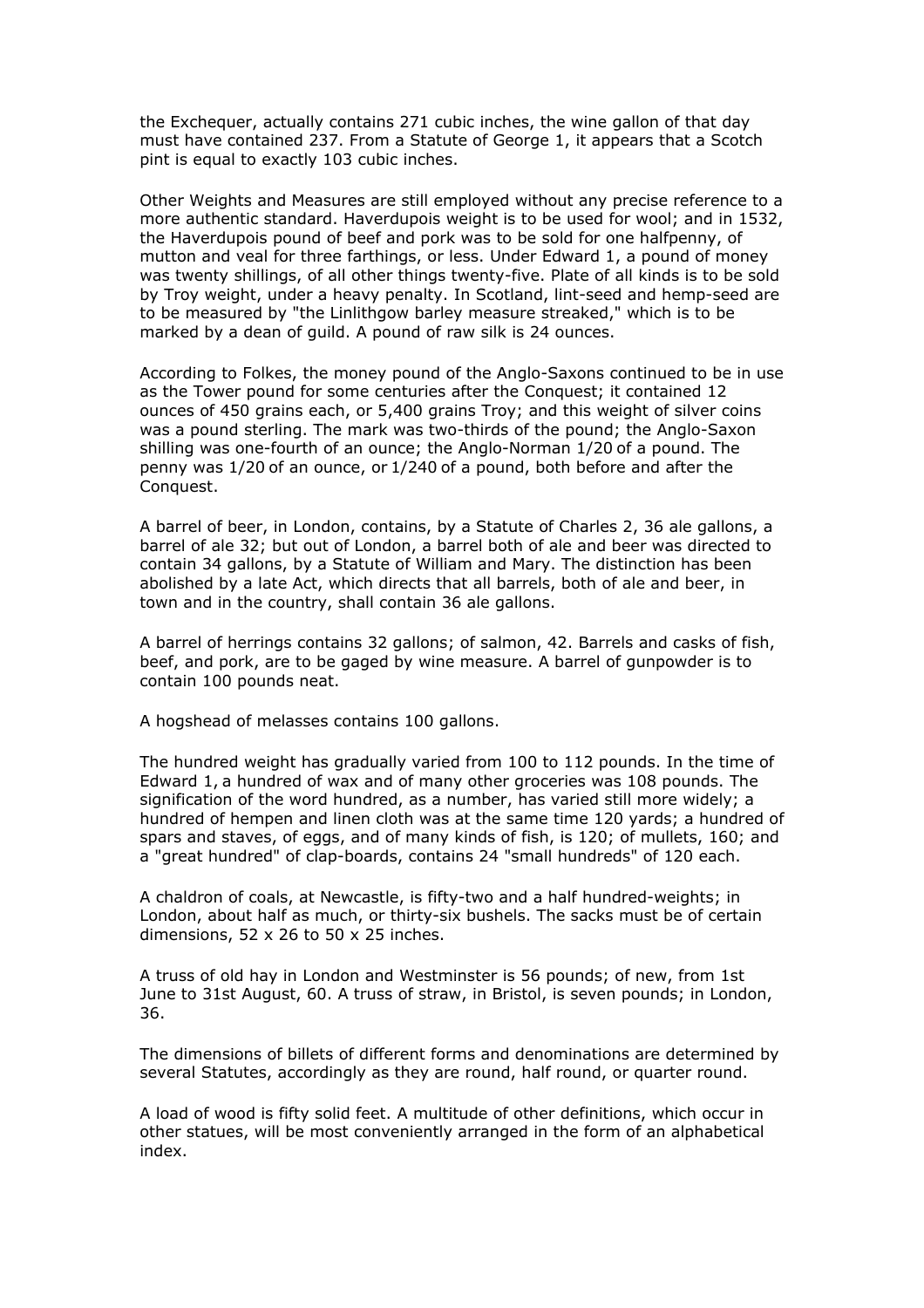the Exchequer, actually contains 271 cubic inches, the wine gallon of that day must have contained 237. From a Statute of George 1, it appears that a Scotch pint is equal to exactly 103 cubic inches.

Other Weights and Measures are still employed without any precise reference to a more authentic standard. Haverdupois weight is to be used for wool; and in 1532, the Haverdupois pound of beef and pork was to be sold for one halfpenny, of mutton and veal for three farthings, or less. Under Edward 1, a pound of money was twenty shillings, of all other things twenty-five. Plate of all kinds is to be sold by Troy weight, under a heavy penalty. In Scotland, lint-seed and hemp-seed are to be measured by "the Linlithgow barley measure streaked," which is to be marked by a dean of guild. A pound of raw silk is 24 ounces.

According to Folkes, the money pound of the Anglo-Saxons continued to be in use as the Tower pound for some centuries after the Conquest; it contained 12 ounces of 450 grains each, or 5,400 grains Troy; and this weight of silver coins was a pound sterling. The mark was two-thirds of the pound; the Anglo-Saxon shilling was one-fourth of an ounce; the Anglo-Norman 1/20 of a pound. The penny was 1/20 of an ounce, or 1/240 of a pound, both before and after the Conquest.

A barrel of beer, in London, contains, by a Statute of Charles 2, 36 ale gallons, a barrel of ale 32; but out of London, a barrel both of ale and beer was directed to contain 34 gallons, by a Statute of William and Mary. The distinction has been abolished by a late Act, which directs that all barrels, both of ale and beer, in town and in the country, shall contain 36 ale gallons.

A barrel of herrings contains 32 gallons; of salmon, 42. Barrels and casks of fish, beef, and pork, are to be gaged by wine measure. A barrel of gunpowder is to contain 100 pounds neat.

A hogshead of melasses contains 100 gallons.

The hundred weight has gradually varied from 100 to 112 pounds. In the time of Edward 1, a hundred of wax and of many other groceries was 108 pounds. The signification of the word hundred, as a number, has varied still more widely; a hundred of hempen and linen cloth was at the same time 120 yards; a hundred of spars and staves, of eggs, and of many kinds of fish, is 120; of mullets, 160; and a "great hundred" of clap-boards, contains 24 "small hundreds" of 120 each.

A chaldron of coals, at Newcastle, is fifty-two and a half hundred-weights; in London, about half as much, or thirty-six bushels. The sacks must be of certain dimensions, 52 x 26 to 50 x 25 inches.

A truss of old hay in London and Westminster is 56 pounds; of new, from 1st June to 31st August, 60. A truss of straw, in Bristol, is seven pounds; in London, 36.

The dimensions of billets of different forms and denominations are determined by several Statutes, accordingly as they are round, half round, or quarter round.

A load of wood is fifty solid feet. A multitude of other definitions, which occur in other statues, will be most conveniently arranged in the form of an alphabetical index.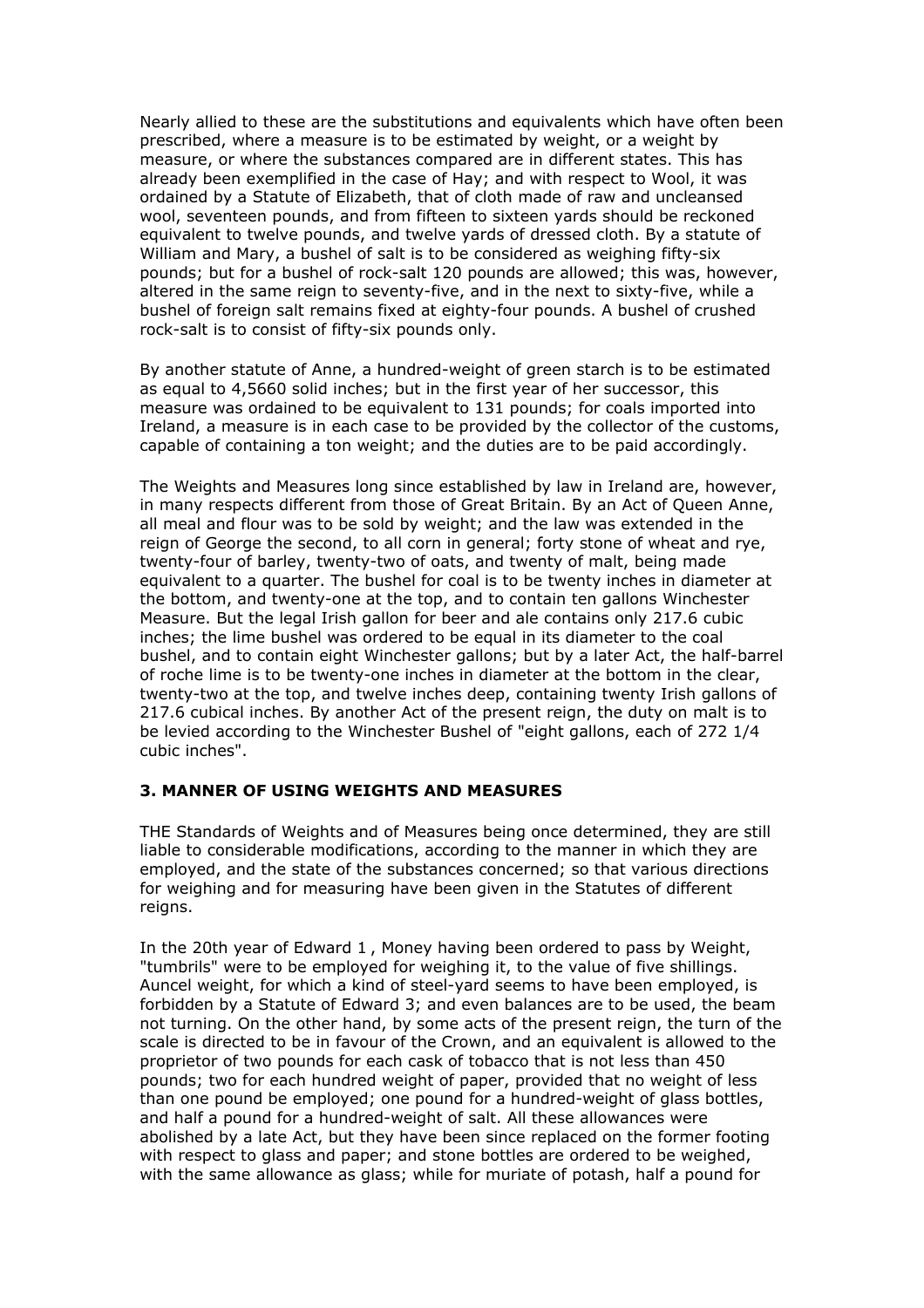Nearly allied to these are the substitutions and equivalents which have often been prescribed, where a measure is to be estimated by weight, or a weight by measure, or where the substances compared are in different states. This has already been exemplified in the case of Hay; and with respect to Wool, it was ordained by a Statute of Elizabeth, that of cloth made of raw and uncleansed wool, seventeen pounds, and from fifteen to sixteen yards should be reckoned equivalent to twelve pounds, and twelve yards of dressed cloth. By a statute of William and Mary, a bushel of salt is to be considered as weighing fifty-six pounds; but for a bushel of rock-salt 120 pounds are allowed; this was, however, altered in the same reign to seventy-five, and in the next to sixty-five, while a bushel of foreign salt remains fixed at eighty-four pounds. A bushel of crushed rock-salt is to consist of fifty-six pounds only.

By another statute of Anne, a hundred-weight of green starch is to be estimated as equal to 4,5660 solid inches; but in the first year of her successor, this measure was ordained to be equivalent to 131 pounds; for coals imported into Ireland, a measure is in each case to be provided by the collector of the customs, capable of containing a ton weight; and the duties are to be paid accordingly.

The Weights and Measures long since established by law in Ireland are, however, in many respects different from those of Great Britain. By an Act of Queen Anne, all meal and flour was to be sold by weight; and the law was extended in the reign of George the second, to all corn in general; forty stone of wheat and rye, twenty-four of barley, twenty-two of oats, and twenty of malt, being made equivalent to a quarter. The bushel for coal is to be twenty inches in diameter at the bottom, and twenty-one at the top, and to contain ten gallons Winchester Measure. But the legal Irish gallon for beer and ale contains only 217.6 cubic inches; the lime bushel was ordered to be equal in its diameter to the coal bushel, and to contain eight Winchester gallons; but by a later Act, the half-barrel of roche lime is to be twenty-one inches in diameter at the bottom in the clear, twenty-two at the top, and twelve inches deep, containing twenty Irish gallons of 217.6 cubical inches. By another Act of the present reign, the duty on malt is to be levied according to the Winchester Bushel of "eight gallons, each of 272 1/4 cubic inches".

#### **3. MANNER OF USING WEIGHTS AND MEASURES**

THE Standards of Weights and of Measures being once determined, they are still liable to considerable modifications, according to the manner in which they are employed, and the state of the substances concerned; so that various directions for weighing and for measuring have been given in the Statutes of different reigns.

In the 20th year of Edward 1 , Money having been ordered to pass by Weight, "tumbrils" were to be employed for weighing it, to the value of five shillings. Auncel weight, for which a kind of steel-yard seems to have been employed, is forbidden by a Statute of Edward 3; and even balances are to be used, the beam not turning. On the other hand, by some acts of the present reign, the turn of the scale is directed to be in favour of the Crown, and an equivalent is allowed to the proprietor of two pounds for each cask of tobacco that is not less than 450 pounds; two for each hundred weight of paper, provided that no weight of less than one pound be employed; one pound for a hundred-weight of glass bottles, and half a pound for a hundred-weight of salt. All these allowances were abolished by a late Act, but they have been since replaced on the former footing with respect to glass and paper; and stone bottles are ordered to be weighed, with the same allowance as glass; while for muriate of potash, half a pound for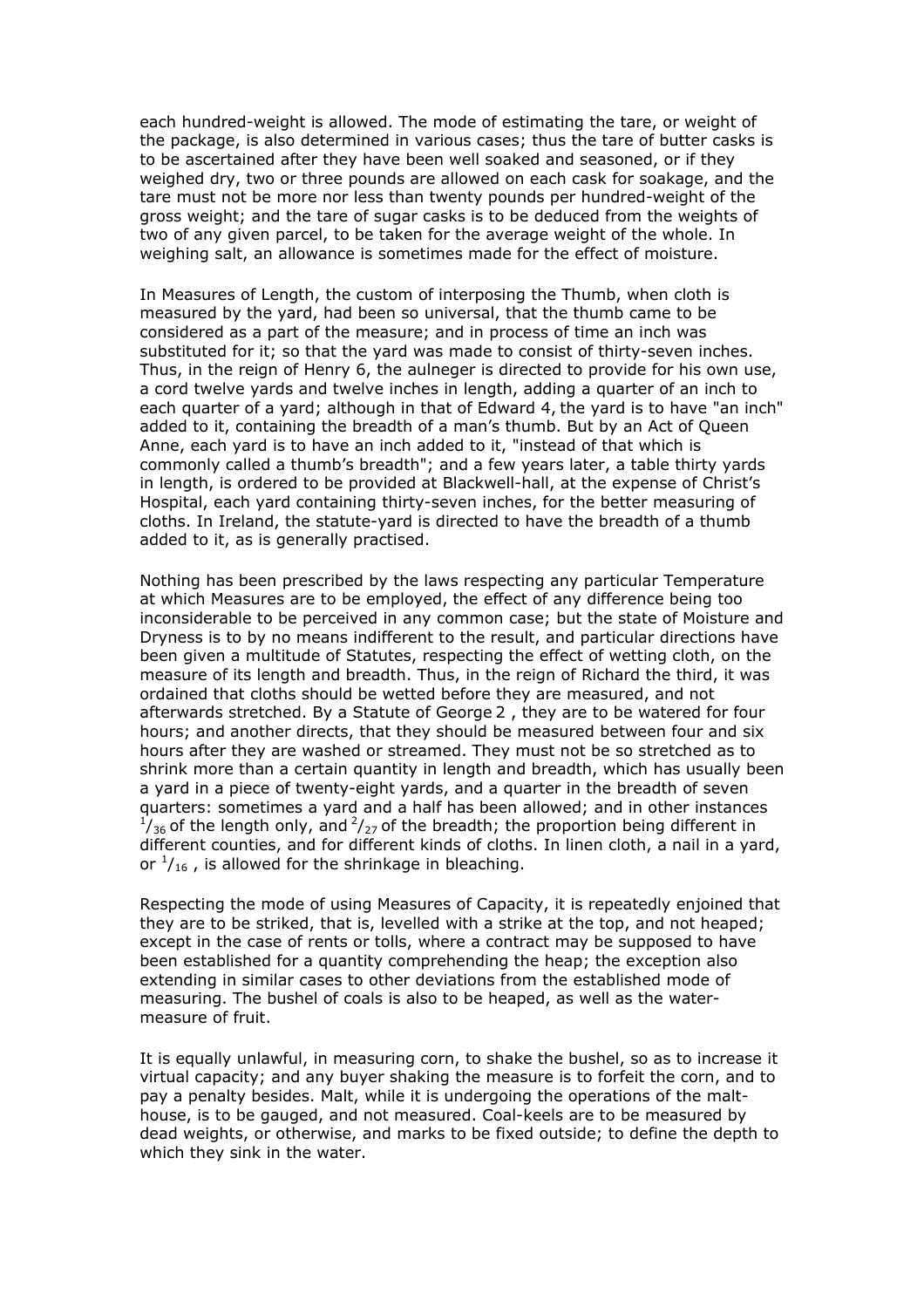each hundred-weight is allowed. The mode of estimating the tare, or weight of the package, is also determined in various cases; thus the tare of butter casks is to be ascertained after they have been well soaked and seasoned, or if they weighed dry, two or three pounds are allowed on each cask for soakage, and the tare must not be more nor less than twenty pounds per hundred-weight of the gross weight; and the tare of sugar casks is to be deduced from the weights of two of any given parcel, to be taken for the average weight of the whole. In weighing salt, an allowance is sometimes made for the effect of moisture.

In Measures of Length, the custom of interposing the Thumb, when cloth is measured by the yard, had been so universal, that the thumb came to be considered as a part of the measure; and in process of time an inch was substituted for it; so that the yard was made to consist of thirty-seven inches. Thus, in the reign of Henry 6, the aulneger is directed to provide for his own use, a cord twelve yards and twelve inches in length, adding a quarter of an inch to each quarter of a yard; although in that of Edward 4, the yard is to have "an inch" added to it, containing the breadth of a man's thumb. But by an Act of Queen Anne, each yard is to have an inch added to it, "instead of that which is commonly called a thumb's breadth"; and a few years later, a table thirty yards in length, is ordered to be provided at Blackwell-hall, at the expense of Christ's Hospital, each yard containing thirty-seven inches, for the better measuring of cloths. In Ireland, the statute-yard is directed to have the breadth of a thumb added to it, as is generally practised.

Nothing has been prescribed by the laws respecting any particular Temperature at which Measures are to be employed, the effect of any difference being too inconsiderable to be perceived in any common case; but the state of Moisture and Dryness is to by no means indifferent to the result, and particular directions have been given a multitude of Statutes, respecting the effect of wetting cloth, on the measure of its length and breadth. Thus, in the reign of Richard the third, it was ordained that cloths should be wetted before they are measured, and not afterwards stretched. By a Statute of George 2 , they are to be watered for four hours; and another directs, that they should be measured between four and six hours after they are washed or streamed. They must not be so stretched as to shrink more than a certain quantity in length and breadth, which has usually been a yard in a piece of twenty-eight yards, and a quarter in the breadth of seven quarters: sometimes a yard and a half has been allowed; and in other instances  $\frac{1}{36}$  of the length only, and  $\frac{2}{27}$  of the breadth; the proportion being different in different counties, and for different kinds of cloths. In linen cloth, a nail in a yard, or  $\frac{1}{16}$ , is allowed for the shrinkage in bleaching.

Respecting the mode of using Measures of Capacity, it is repeatedly enjoined that they are to be striked, that is, levelled with a strike at the top, and not heaped; except in the case of rents or tolls, where a contract may be supposed to have been established for a quantity comprehending the heap; the exception also extending in similar cases to other deviations from the established mode of measuring. The bushel of coals is also to be heaped, as well as the watermeasure of fruit.

It is equally unlawful, in measuring corn, to shake the bushel, so as to increase it virtual capacity; and any buyer shaking the measure is to forfeit the corn, and to pay a penalty besides. Malt, while it is undergoing the operations of the malthouse, is to be gauged, and not measured. Coal-keels are to be measured by dead weights, or otherwise, and marks to be fixed outside; to define the depth to which they sink in the water.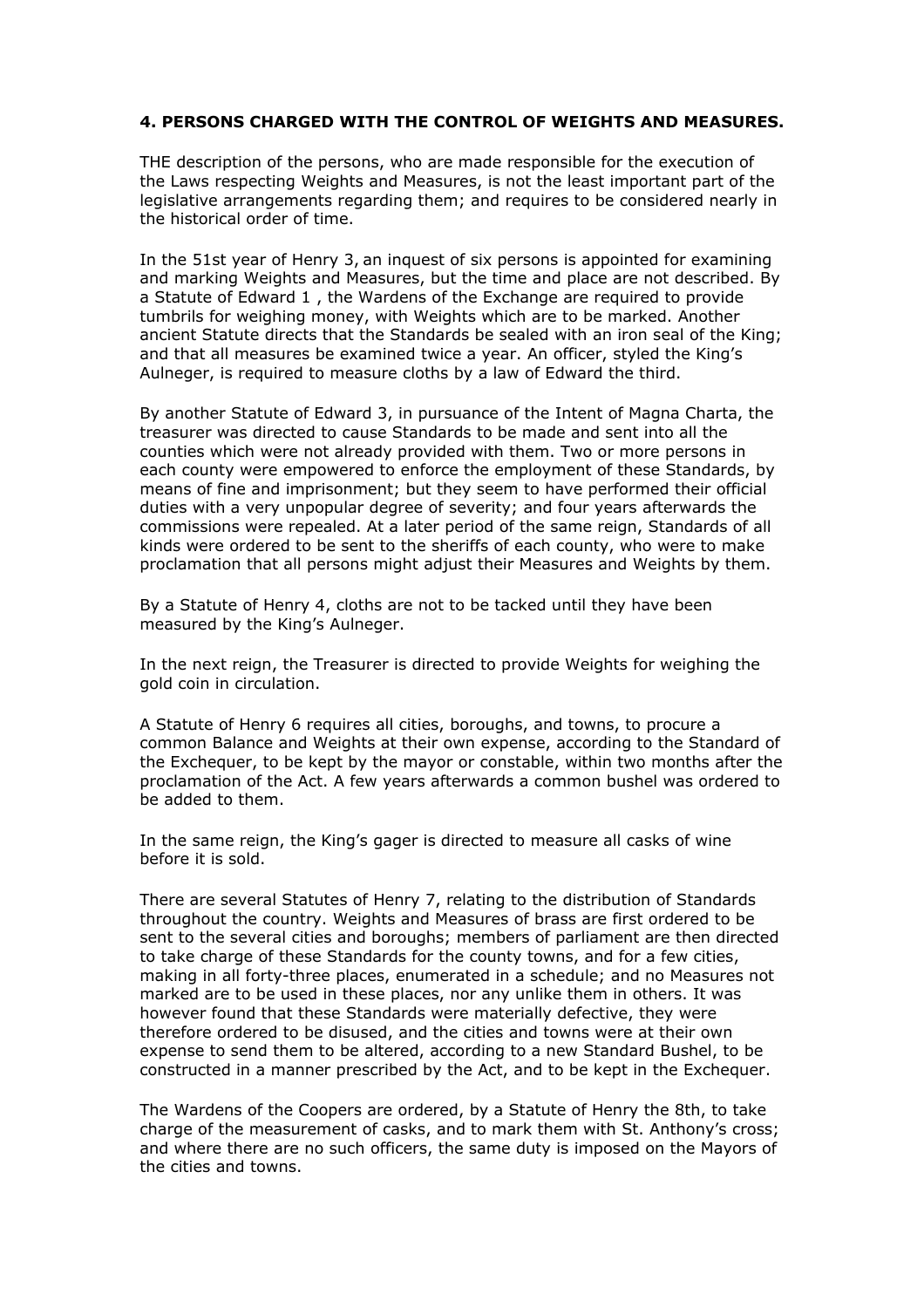#### **4. PERSONS CHARGED WITH THE CONTROL OF WEIGHTS AND MEASURES.**

THE description of the persons, who are made responsible for the execution of the Laws respecting Weights and Measures, is not the least important part of the legislative arrangements regarding them; and requires to be considered nearly in the historical order of time.

In the 51st year of Henry 3, an inquest of six persons is appointed for examining and marking Weights and Measures, but the time and place are not described. By a Statute of Edward 1 , the Wardens of the Exchange are required to provide tumbrils for weighing money, with Weights which are to be marked. Another ancient Statute directs that the Standards be sealed with an iron seal of the King; and that all measures be examined twice a year. An officer, styled the King's Aulneger, is required to measure cloths by a law of Edward the third.

By another Statute of Edward 3, in pursuance of the Intent of Magna Charta, the treasurer was directed to cause Standards to be made and sent into all the counties which were not already provided with them. Two or more persons in each county were empowered to enforce the employment of these Standards, by means of fine and imprisonment; but they seem to have performed their official duties with a very unpopular degree of severity; and four years afterwards the commissions were repealed. At a later period of the same reign, Standards of all kinds were ordered to be sent to the sheriffs of each county, who were to make proclamation that all persons might adjust their Measures and Weights by them.

By a Statute of Henry 4, cloths are not to be tacked until they have been measured by the King's Aulneger.

In the next reign, the Treasurer is directed to provide Weights for weighing the gold coin in circulation.

A Statute of Henry 6 requires all cities, boroughs, and towns, to procure a common Balance and Weights at their own expense, according to the Standard of the Exchequer, to be kept by the mayor or constable, within two months after the proclamation of the Act. A few years afterwards a common bushel was ordered to be added to them.

In the same reign, the King's gager is directed to measure all casks of wine before it is sold.

There are several Statutes of Henry 7, relating to the distribution of Standards throughout the country. Weights and Measures of brass are first ordered to be sent to the several cities and boroughs; members of parliament are then directed to take charge of these Standards for the county towns, and for a few cities, making in all forty-three places, enumerated in a schedule; and no Measures not marked are to be used in these places, nor any unlike them in others. It was however found that these Standards were materially defective, they were therefore ordered to be disused, and the cities and towns were at their own expense to send them to be altered, according to a new Standard Bushel, to be constructed in a manner prescribed by the Act, and to be kept in the Exchequer.

The Wardens of the Coopers are ordered, by a Statute of Henry the 8th, to take charge of the measurement of casks, and to mark them with St. Anthony's cross; and where there are no such officers, the same duty is imposed on the Mayors of the cities and towns.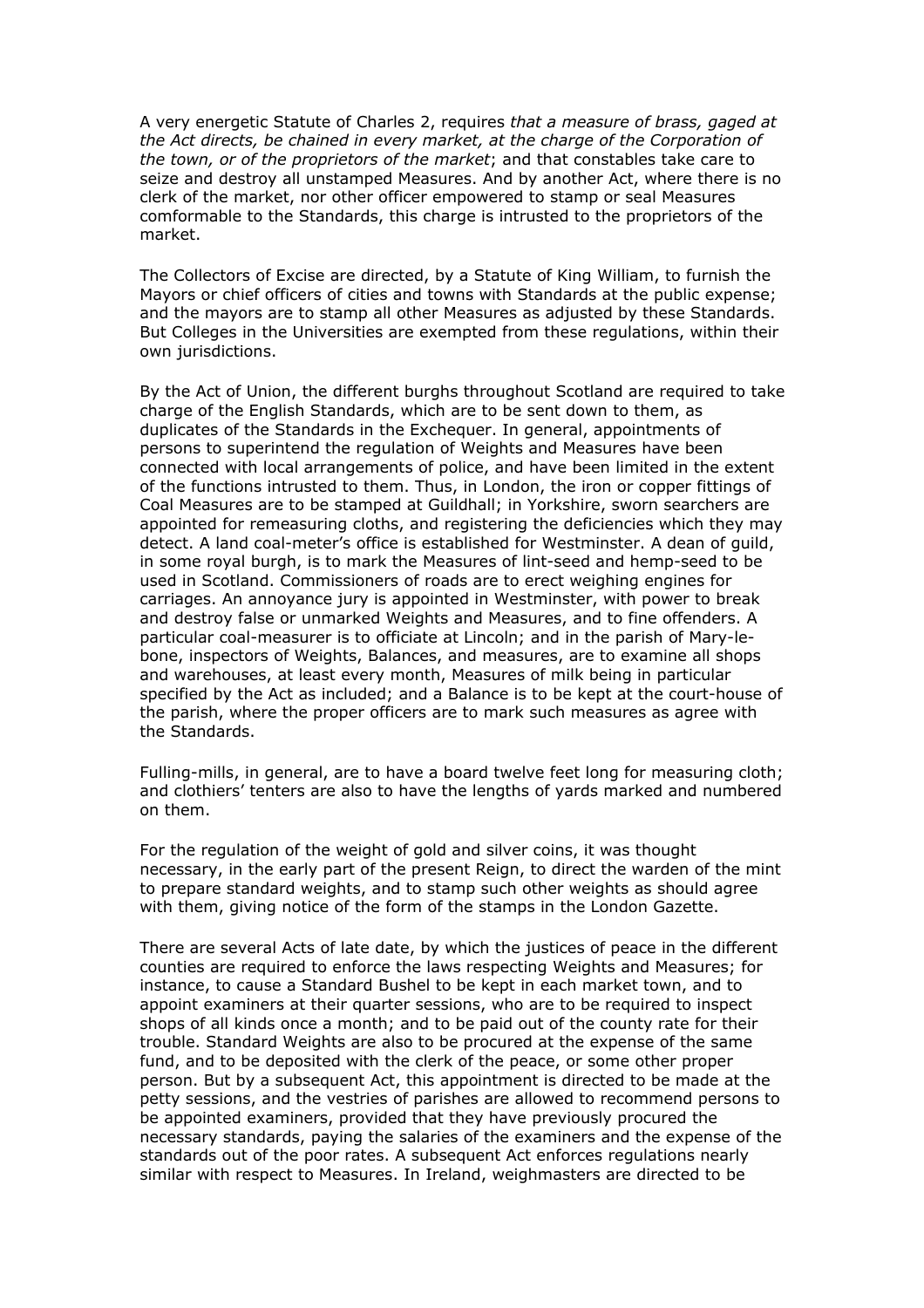A very energetic Statute of Charles 2, requires *that a measure of brass, gaged at the Act directs, be chained in every market, at the charge of the Corporation of the town, or of the proprietors of the market*; and that constables take care to seize and destroy all unstamped Measures. And by another Act, where there is no clerk of the market, nor other officer empowered to stamp or seal Measures comformable to the Standards, this charge is intrusted to the proprietors of the market.

The Collectors of Excise are directed, by a Statute of King William, to furnish the Mayors or chief officers of cities and towns with Standards at the public expense; and the mayors are to stamp all other Measures as adjusted by these Standards. But Colleges in the Universities are exempted from these regulations, within their own jurisdictions.

By the Act of Union, the different burghs throughout Scotland are required to take charge of the English Standards, which are to be sent down to them, as duplicates of the Standards in the Exchequer. In general, appointments of persons to superintend the regulation of Weights and Measures have been connected with local arrangements of police, and have been limited in the extent of the functions intrusted to them. Thus, in London, the iron or copper fittings of Coal Measures are to be stamped at Guildhall; in Yorkshire, sworn searchers are appointed for remeasuring cloths, and registering the deficiencies which they may detect. A land coal-meter's office is established for Westminster. A dean of guild, in some royal burgh, is to mark the Measures of lint-seed and hemp-seed to be used in Scotland. Commissioners of roads are to erect weighing engines for carriages. An annoyance jury is appointed in Westminster, with power to break and destroy false or unmarked Weights and Measures, and to fine offenders. A particular coal-measurer is to officiate at Lincoln; and in the parish of Mary-lebone, inspectors of Weights, Balances, and measures, are to examine all shops and warehouses, at least every month, Measures of milk being in particular specified by the Act as included; and a Balance is to be kept at the court-house of the parish, where the proper officers are to mark such measures as agree with the Standards.

Fulling-mills, in general, are to have a board twelve feet long for measuring cloth; and clothiers' tenters are also to have the lengths of yards marked and numbered on them.

For the regulation of the weight of gold and silver coins, it was thought necessary, in the early part of the present Reign, to direct the warden of the mint to prepare standard weights, and to stamp such other weights as should agree with them, giving notice of the form of the stamps in the London Gazette.

There are several Acts of late date, by which the justices of peace in the different counties are required to enforce the laws respecting Weights and Measures; for instance, to cause a Standard Bushel to be kept in each market town, and to appoint examiners at their quarter sessions, who are to be required to inspect shops of all kinds once a month; and to be paid out of the county rate for their trouble. Standard Weights are also to be procured at the expense of the same fund, and to be deposited with the clerk of the peace, or some other proper person. But by a subsequent Act, this appointment is directed to be made at the petty sessions, and the vestries of parishes are allowed to recommend persons to be appointed examiners, provided that they have previously procured the necessary standards, paying the salaries of the examiners and the expense of the standards out of the poor rates. A subsequent Act enforces regulations nearly similar with respect to Measures. In Ireland, weighmasters are directed to be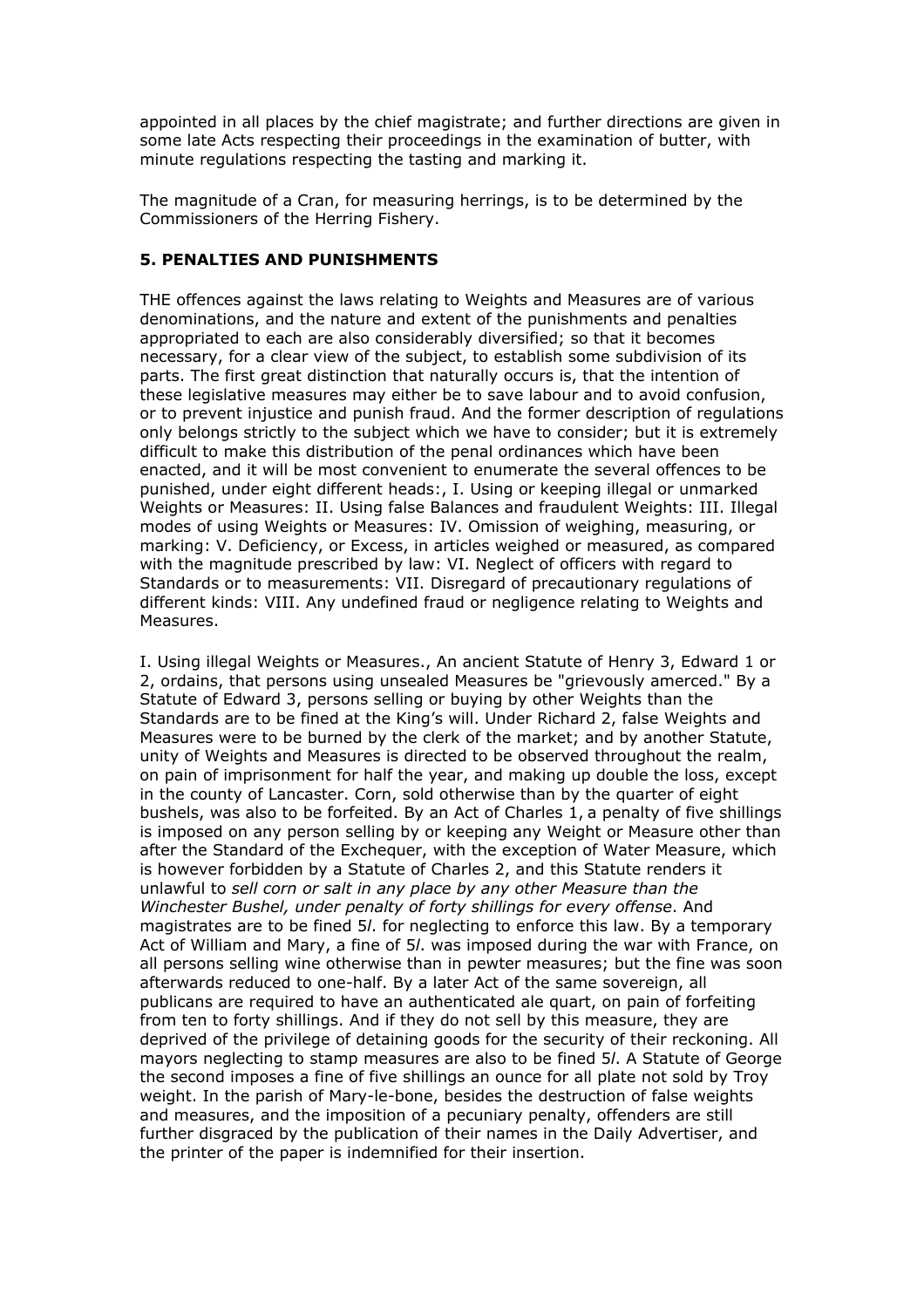appointed in all places by the chief magistrate; and further directions are given in some late Acts respecting their proceedings in the examination of butter, with minute regulations respecting the tasting and marking it.

The magnitude of a Cran, for measuring herrings, is to be determined by the Commissioners of the Herring Fishery.

### **5. PENALTIES AND PUNISHMENTS**

THE offences against the laws relating to Weights and Measures are of various denominations, and the nature and extent of the punishments and penalties appropriated to each are also considerably diversified; so that it becomes necessary, for a clear view of the subject, to establish some subdivision of its parts. The first great distinction that naturally occurs is, that the intention of these legislative measures may either be to save labour and to avoid confusion, or to prevent injustice and punish fraud. And the former description of regulations only belongs strictly to the subject which we have to consider; but it is extremely difficult to make this distribution of the penal ordinances which have been enacted, and it will be most convenient to enumerate the several offences to be punished, under eight different heads:, I. Using or keeping illegal or unmarked Weights or Measures: II. Using false Balances and fraudulent Weights: III. Illegal modes of using Weights or Measures: IV. Omission of weighing, measuring, or marking: V. Deficiency, or Excess, in articles weighed or measured, as compared with the magnitude prescribed by law: VI. Neglect of officers with regard to Standards or to measurements: VII. Disregard of precautionary regulations of different kinds: VIII. Any undefined fraud or negligence relating to Weights and Measures.

I. Using illegal Weights or Measures., An ancient Statute of Henry 3, Edward 1 or 2, ordains, that persons using unsealed Measures be "grievously amerced." By a Statute of Edward 3, persons selling or buying by other Weights than the Standards are to be fined at the King's will. Under Richard 2, false Weights and Measures were to be burned by the clerk of the market; and by another Statute, unity of Weights and Measures is directed to be observed throughout the realm, on pain of imprisonment for half the year, and making up double the loss, except in the county of Lancaster. Corn, sold otherwise than by the quarter of eight bushels, was also to be forfeited. By an Act of Charles 1, a penalty of five shillings is imposed on any person selling by or keeping any Weight or Measure other than after the Standard of the Exchequer, with the exception of Water Measure, which is however forbidden by a Statute of Charles 2, and this Statute renders it unlawful to *sell corn or salt in any place by any other Measure than the Winchester Bushel, under penalty of forty shillings for every offense*. And magistrates are to be fined 5*l*. for neglecting to enforce this law. By a temporary Act of William and Mary, a fine of 5*l*. was imposed during the war with France, on all persons selling wine otherwise than in pewter measures; but the fine was soon afterwards reduced to one-half. By a later Act of the same sovereign, all publicans are required to have an authenticated ale quart, on pain of forfeiting from ten to forty shillings. And if they do not sell by this measure, they are deprived of the privilege of detaining goods for the security of their reckoning. All mayors neglecting to stamp measures are also to be fined 5*l*. A Statute of George the second imposes a fine of five shillings an ounce for all plate not sold by Troy weight. In the parish of Mary-le-bone, besides the destruction of false weights and measures, and the imposition of a pecuniary penalty, offenders are still further disgraced by the publication of their names in the Daily Advertiser, and the printer of the paper is indemnified for their insertion.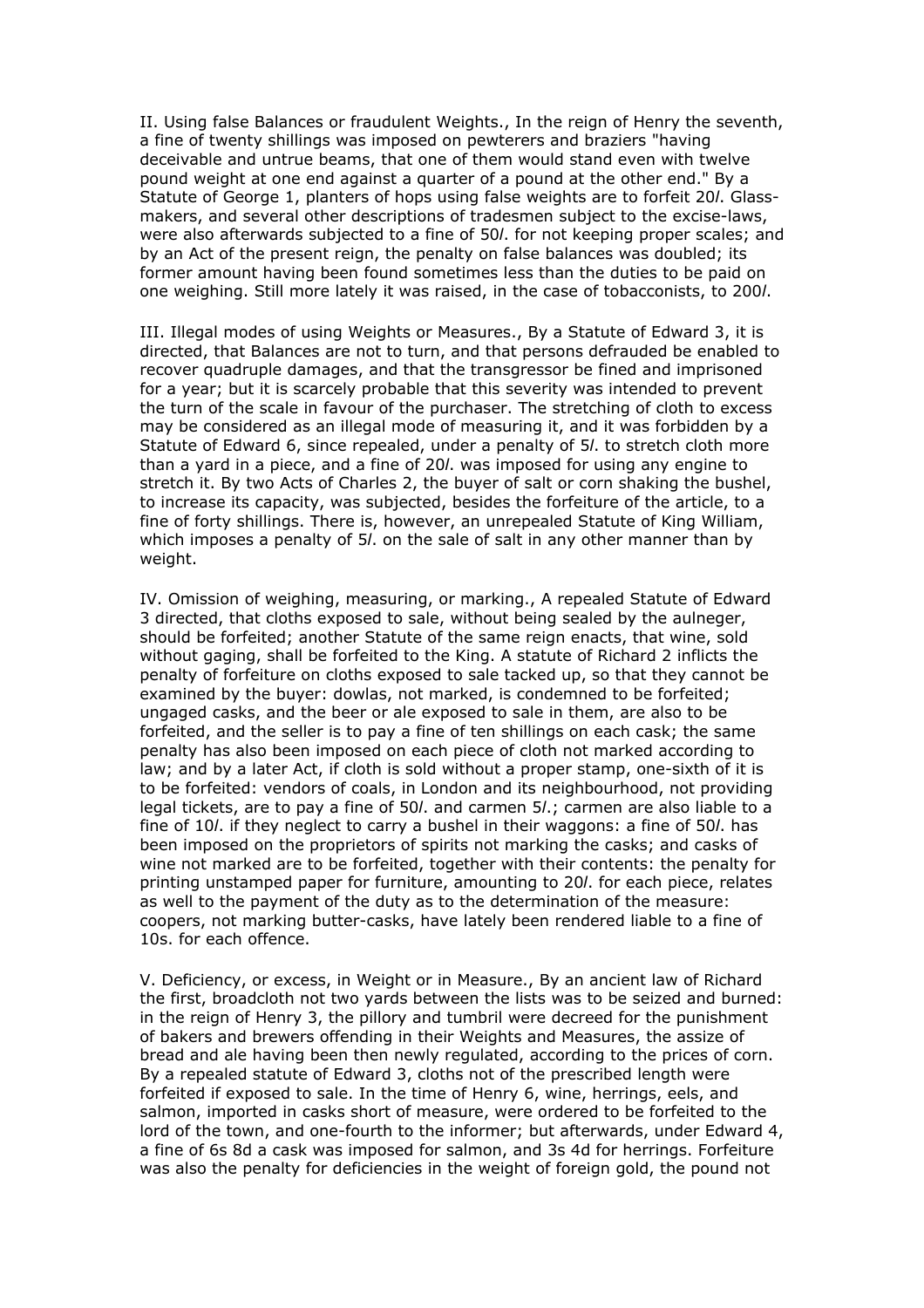II. Using false Balances or fraudulent Weights., In the reign of Henry the seventh, a fine of twenty shillings was imposed on pewterers and braziers "having deceivable and untrue beams, that one of them would stand even with twelve pound weight at one end against a quarter of a pound at the other end." By a Statute of George 1, planters of hops using false weights are to forfeit 20*l*. Glassmakers, and several other descriptions of tradesmen subject to the excise-laws, were also afterwards subjected to a fine of 50*l*. for not keeping proper scales; and by an Act of the present reign, the penalty on false balances was doubled; its former amount having been found sometimes less than the duties to be paid on one weighing. Still more lately it was raised, in the case of tobacconists, to 200*l*.

III. Illegal modes of using Weights or Measures., By a Statute of Edward 3, it is directed, that Balances are not to turn, and that persons defrauded be enabled to recover quadruple damages, and that the transgressor be fined and imprisoned for a year; but it is scarcely probable that this severity was intended to prevent the turn of the scale in favour of the purchaser. The stretching of cloth to excess may be considered as an illegal mode of measuring it, and it was forbidden by a Statute of Edward 6, since repealed, under a penalty of 5*l*. to stretch cloth more than a yard in a piece, and a fine of 20*l*. was imposed for using any engine to stretch it. By two Acts of Charles 2, the buyer of salt or corn shaking the bushel, to increase its capacity, was subjected, besides the forfeiture of the article, to a fine of forty shillings. There is, however, an unrepealed Statute of King William, which imposes a penalty of 5*l*. on the sale of salt in any other manner than by weight.

IV. Omission of weighing, measuring, or marking., A repealed Statute of Edward 3 directed, that cloths exposed to sale, without being sealed by the aulneger, should be forfeited; another Statute of the same reign enacts, that wine, sold without gaging, shall be forfeited to the King. A statute of Richard 2 inflicts the penalty of forfeiture on cloths exposed to sale tacked up, so that they cannot be examined by the buyer: dowlas, not marked, is condemned to be forfeited; ungaged casks, and the beer or ale exposed to sale in them, are also to be forfeited, and the seller is to pay a fine of ten shillings on each cask; the same penalty has also been imposed on each piece of cloth not marked according to law; and by a later Act, if cloth is sold without a proper stamp, one-sixth of it is to be forfeited: vendors of coals, in London and its neighbourhood, not providing legal tickets, are to pay a fine of 50*l*. and carmen 5*l*.; carmen are also liable to a fine of 10*l*. if they neglect to carry a bushel in their waggons: a fine of 50*l*. has been imposed on the proprietors of spirits not marking the casks; and casks of wine not marked are to be forfeited, together with their contents: the penalty for printing unstamped paper for furniture, amounting to 20*l*. for each piece, relates as well to the payment of the duty as to the determination of the measure: coopers, not marking butter-casks, have lately been rendered liable to a fine of 10s. for each offence.

V. Deficiency, or excess, in Weight or in Measure., By an ancient law of Richard the first, broadcloth not two yards between the lists was to be seized and burned: in the reign of Henry 3, the pillory and tumbril were decreed for the punishment of bakers and brewers offending in their Weights and Measures, the assize of bread and ale having been then newly regulated, according to the prices of corn. By a repealed statute of Edward 3, cloths not of the prescribed length were forfeited if exposed to sale. In the time of Henry 6, wine, herrings, eels, and salmon, imported in casks short of measure, were ordered to be forfeited to the lord of the town, and one-fourth to the informer; but afterwards, under Edward 4, a fine of 6s 8d a cask was imposed for salmon, and 3s 4d for herrings. Forfeiture was also the penalty for deficiencies in the weight of foreign gold, the pound not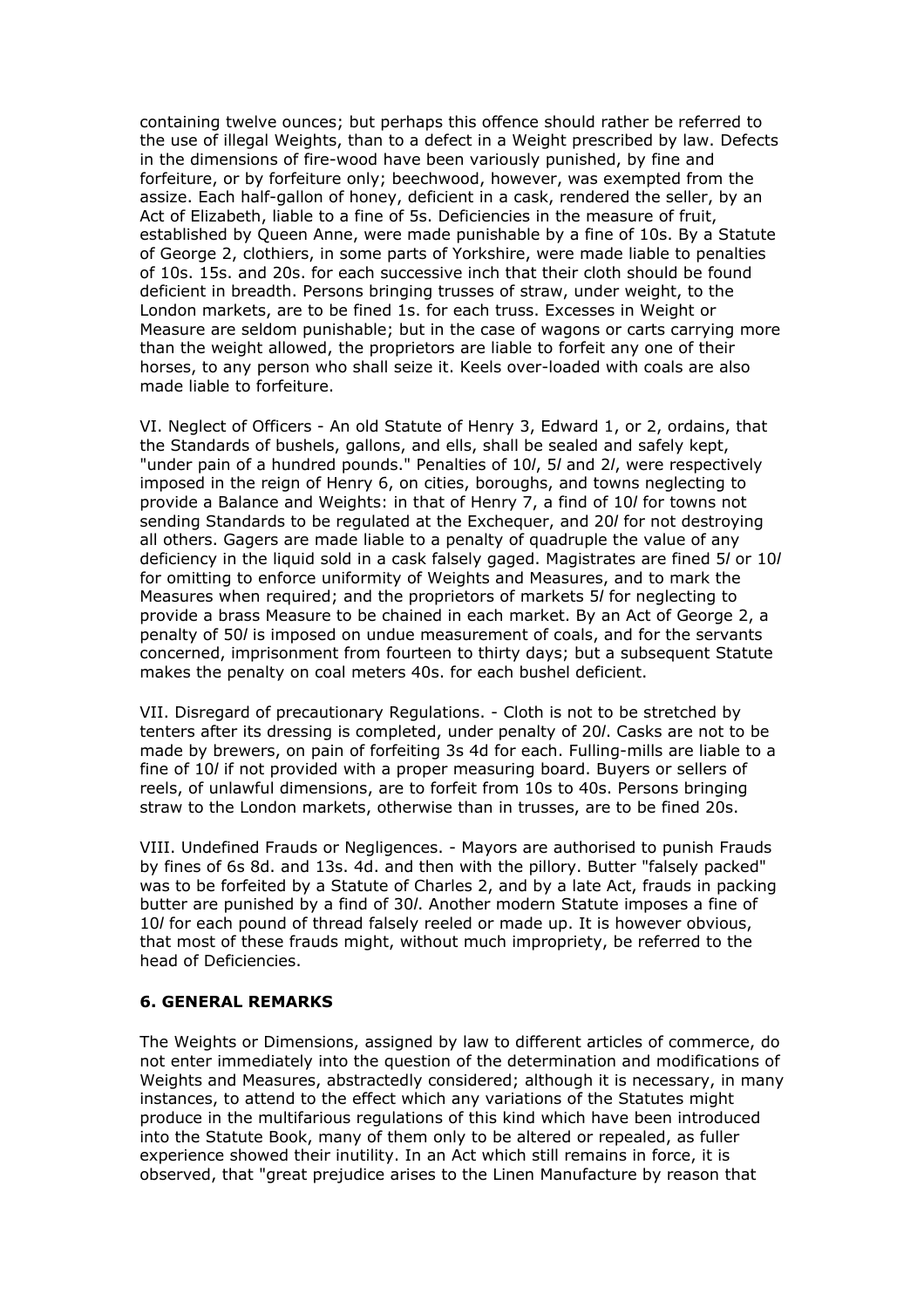containing twelve ounces; but perhaps this offence should rather be referred to the use of illegal Weights, than to a defect in a Weight prescribed by law. Defects in the dimensions of fire-wood have been variously punished, by fine and forfeiture, or by forfeiture only; beechwood, however, was exempted from the assize. Each half-gallon of honey, deficient in a cask, rendered the seller, by an Act of Elizabeth, liable to a fine of 5s. Deficiencies in the measure of fruit, established by Queen Anne, were made punishable by a fine of 10s. By a Statute of George 2, clothiers, in some parts of Yorkshire, were made liable to penalties of 10s. 15s. and 20s. for each successive inch that their cloth should be found deficient in breadth. Persons bringing trusses of straw, under weight, to the London markets, are to be fined 1s. for each truss. Excesses in Weight or Measure are seldom punishable; but in the case of wagons or carts carrying more than the weight allowed, the proprietors are liable to forfeit any one of their horses, to any person who shall seize it. Keels over-loaded with coals are also made liable to forfeiture.

VI. Neglect of Officers - An old Statute of Henry 3, Edward 1, or 2, ordains, that the Standards of bushels, gallons, and ells, shall be sealed and safely kept, "under pain of a hundred pounds." Penalties of 10*l*, 5*l* and 2*l*, were respectively imposed in the reign of Henry 6, on cities, boroughs, and towns neglecting to provide a Balance and Weights: in that of Henry 7, a find of 10*l* for towns not sending Standards to be regulated at the Exchequer, and 20*l* for not destroying all others. Gagers are made liable to a penalty of quadruple the value of any deficiency in the liquid sold in a cask falsely gaged. Magistrates are fined 5*l* or 10*l* for omitting to enforce uniformity of Weights and Measures, and to mark the Measures when required; and the proprietors of markets 5*l* for neglecting to provide a brass Measure to be chained in each market. By an Act of George 2, a penalty of 50*l* is imposed on undue measurement of coals, and for the servants concerned, imprisonment from fourteen to thirty days; but a subsequent Statute makes the penalty on coal meters 40s. for each bushel deficient.

VII. Disregard of precautionary Regulations. - Cloth is not to be stretched by tenters after its dressing is completed, under penalty of 20*l*. Casks are not to be made by brewers, on pain of forfeiting 3s 4d for each. Fulling-mills are liable to a fine of 10*l* if not provided with a proper measuring board. Buyers or sellers of reels, of unlawful dimensions, are to forfeit from 10s to 40s. Persons bringing straw to the London markets, otherwise than in trusses, are to be fined 20s.

VIII. Undefined Frauds or Negligences. - Mayors are authorised to punish Frauds by fines of 6s 8d. and 13s. 4d. and then with the pillory. Butter "falsely packed" was to be forfeited by a Statute of Charles 2, and by a late Act, frauds in packing butter are punished by a find of 30*l*. Another modern Statute imposes a fine of 10*l* for each pound of thread falsely reeled or made up. It is however obvious, that most of these frauds might, without much impropriety, be referred to the head of Deficiencies.

#### **6. GENERAL REMARKS**

The Weights or Dimensions, assigned by law to different articles of commerce, do not enter immediately into the question of the determination and modifications of Weights and Measures, abstractedly considered; although it is necessary, in many instances, to attend to the effect which any variations of the Statutes might produce in the multifarious regulations of this kind which have been introduced into the Statute Book, many of them only to be altered or repealed, as fuller experience showed their inutility. In an Act which still remains in force, it is observed, that "great prejudice arises to the Linen Manufacture by reason that